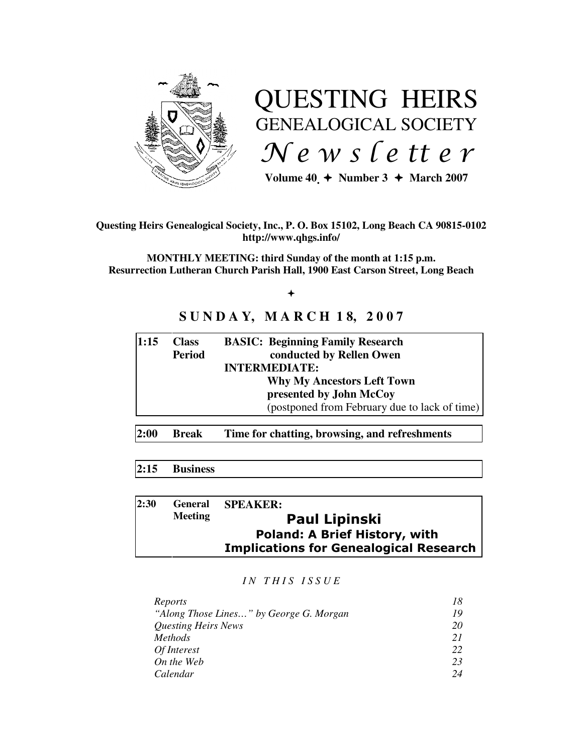

# QUESTING HEIRS GENEALOGICAL SOCIETY  $N e$  w s letter

Volume  $40 \div \text{Number 3} \div \text{March 2007}$ 

**Questing Heirs Genealogical Society, Inc., P. O. Box 15102, Long Beach CA 90815-0102 http://www.qhgs.info/** 

**MONTHLY MEETING: third Sunday of the month at 1:15 p.m. Resurrection Lutheran Church Parish Hall, 1900 East Carson Street, Long Beach** 

 $+$ 

# **S U N D A Y, M A R C H 1 8, 2 0 0 7**

| 1:15 | <b>Class</b><br><b>Period</b> | <b>BASIC: Beginning Family Research</b><br>conducted by Rellen Owen |
|------|-------------------------------|---------------------------------------------------------------------|
|      |                               | <b>INTERMEDIATE:</b>                                                |
|      |                               | <b>Why My Ancestors Left Town</b>                                   |
|      |                               | presented by John McCoy                                             |
|      |                               | (postponed from February due to lack of time)                       |

**2:00 Break Time for chatting, browsing, and refreshments** 

# **2:15 Business**

**2:30 General Meeting SPEAKER:** Paul Lipinski Poland: A Brief History, with Implications for Genealogical Research

#### *I N T H I S I S S U E*

| Reports                                 | 18 |
|-----------------------------------------|----|
| "Along Those Lines" by George G. Morgan | 19 |
| <b>Questing Heirs News</b>              | 20 |
| <i>Methods</i>                          | 21 |
| Of Interest                             | 22 |
| On the Web                              | 23 |
| Calendar                                | 24 |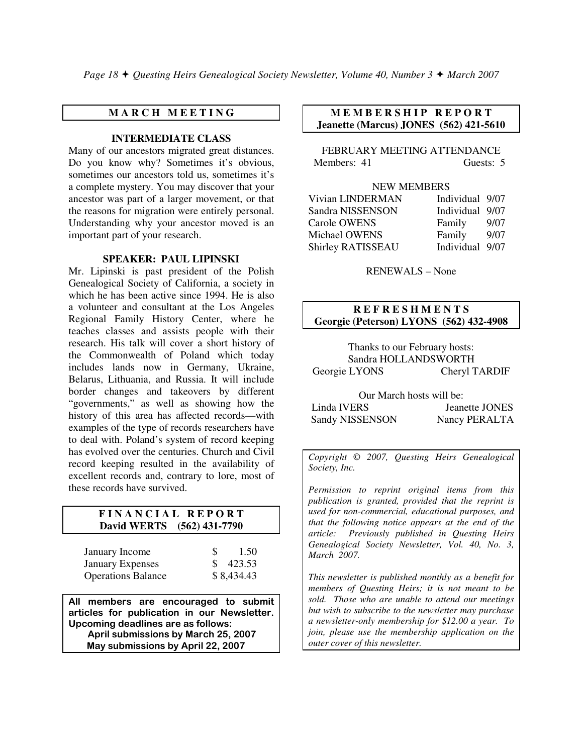# **M A R C H M E E T I N G**

#### **INTERMEDIATE CLASS**

Many of our ancestors migrated great distances. Do you know why? Sometimes it's obvious, sometimes our ancestors told us, sometimes it's a complete mystery. You may discover that your ancestor was part of a larger movement, or that the reasons for migration were entirely personal. Understanding why your ancestor moved is an important part of your research.

#### **SPEAKER: PAUL LIPINSKI**

Mr. Lipinski is past president of the Polish Genealogical Society of California, a society in which he has been active since 1994. He is also a volunteer and consultant at the Los Angeles Regional Family History Center, where he teaches classes and assists people with their research. His talk will cover a short history of the Commonwealth of Poland which today includes lands now in Germany, Ukraine, Belarus, Lithuania, and Russia. It will include border changes and takeovers by different "governments," as well as showing how the history of this area has affected records—with examples of the type of records researchers have to deal with. Poland's system of record keeping has evolved over the centuries. Church and Civil record keeping resulted in the availability of excellent records and, contrary to lore, most of these records have survived.

#### **F I N A N C I A L R E P O R T David WERTS (562) 431-7790**

| January Income            | -SS | 1.50       |
|---------------------------|-----|------------|
| <b>January Expenses</b>   | S   | 423.53     |
| <b>Operations Balance</b> |     | \$8,434.43 |

All members are encouraged to submit articles for publication in our Newsletter. Upcoming deadlines are as follows: April submissions by March 25, 2007 May submissions by April 22, 2007

#### **MEMBERSHIP REPORT Jeanette (Marcus) JONES (562) 421-5610**

FEBRUARY MEETING ATTENDANCE Members: 41 Guests: 5

#### NEW MEMBERS

| Vivian LINDERMAN     | Individual 9/07 |      |
|----------------------|-----------------|------|
| Sandra NISSENSON     | Individual 9/07 |      |
| Carole OWENS         | Family          | 9/07 |
| <b>Michael OWENS</b> | Family          | 9/07 |
| Shirley RATISSEAU    | Individual 9/07 |      |

RENEWALS – None

#### **R E F R E S H M E N T S Georgie (Peterson) LYONS (562) 432-4908**

Thanks to our February hosts: Sandra HOLLANDSWORTH Georgie LYONS Cheryl TARDIF

Our March hosts will be: Linda IVERS Jeanette JONES Sandy NISSENSON Nancy PERALTA

*Copyright* © *2007, Questing Heirs Genealogical Society, Inc.* 

*Permission to reprint original items from this publication is granted, provided that the reprint is used for non-commercial, educational purposes, and that the following notice appears at the end of the article: Previously published in Questing Heirs Genealogical Society Newsletter, Vol. 40, No. 3, March 2007.* 

*This newsletter is published monthly as a benefit for members of Questing Heirs; it is not meant to be sold. Those who are unable to attend our meetings but wish to subscribe to the newsletter may purchase a newsletter-only membership for \$12.00 a year. To join, please use the membership application on the outer cover of this newsletter.*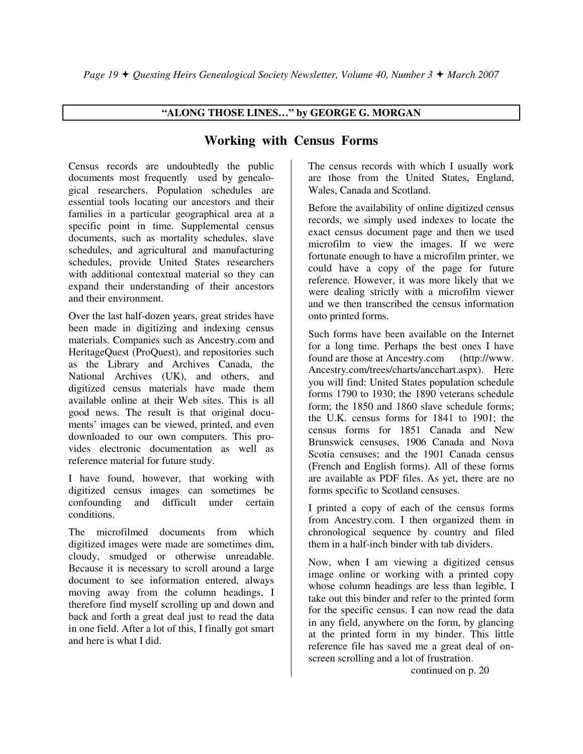# **"ALONG THOSE LINES…" by GEORGE G. MORGAN**

# **Working with Census Forms**

Census records are undoubtedly the public documents most frequently used by genealogical researchers. Population schedules are essential tools locating our ancestors and their families in a particular geographical area at a specific point in time. Supplemental census documents, such as mortality schedules, slave schedules, and agricultural and manufacturing schedules, provide United States researchers with additional contextual material so they can expand their understanding of their ancestors and their environment.

Over the last half-dozen years, great strides have been made in digitizing and indexing census materials. Companies such as Ancestry.com and HeritageQuest (ProQuest), and repositories such as the Library and Archives Canada, the National Archives (UK), and others, and digitized census materials have made them available online at their Web sites. This is all good news. The result is that original documents' images can be viewed, printed, and even downloaded to our own computers. This provides electronic documentation as well as reference material for future study.

I have found, however, that working with digitized census images can sometimes be confounding and difficult under certain conditions.

The microfilmed documents from which digitized images were made are sometimes dim, cloudy, smudged or otherwise unreadable. Because it is necessary to scroll around a large document to see information entered, always moving away from the column headings, I therefore find myself scrolling up and down and back and forth a great deal just to read the data in one field. After a lot of this, I finally got smart and here is what I did.

The census records with which I usually work are those from the United States, England, Wales, Canada and Scotland.

Before the availability of online digitized census records, we simply used indexes to locate the exact census document page and then we used microfilm to view the images. If we were fortunate enough to have a microfilm printer, we could have a copy of the page for future reference. However, it was more likely that we were dealing strictly with a microfilm viewer and we then transcribed the census information onto printed forms.

Such forms have been available on the Internet for a long time. Perhaps the best ones I have found are those at Ancestry.com (http://www. Ancestry.com/trees/charts/ancchart.aspx). Here you will find: United States population schedule forms 1790 to 1930; the 1890 veterans schedule form; the 1850 and 1860 slave schedule forms; the U.K. census forms for 1841 to 1901; the census forms for 1851 Canada and New Brunswick censuses, 1906 Canada and Nova Scotia censuses; and the 1901 Canada census (French and English forms). All of these forms are available as PDF files. As yet, there are no forms specific to Scotland censuses.

I printed a copy of each of the census forms from Ancestry.com. I then organized them in chronological sequence by country and filed them in a half-inch binder with tab dividers.

Now, when I am viewing a digitized census image online or working with a printed copy whose column headings are less than legible, I take out this binder and refer to the printed form for the specific census. I can now read the data in any field, anywhere on the form, by glancing at the printed form in my binder. This little reference file has saved me a great deal of onscreen scrolling and a lot of frustration.

continued on p. 20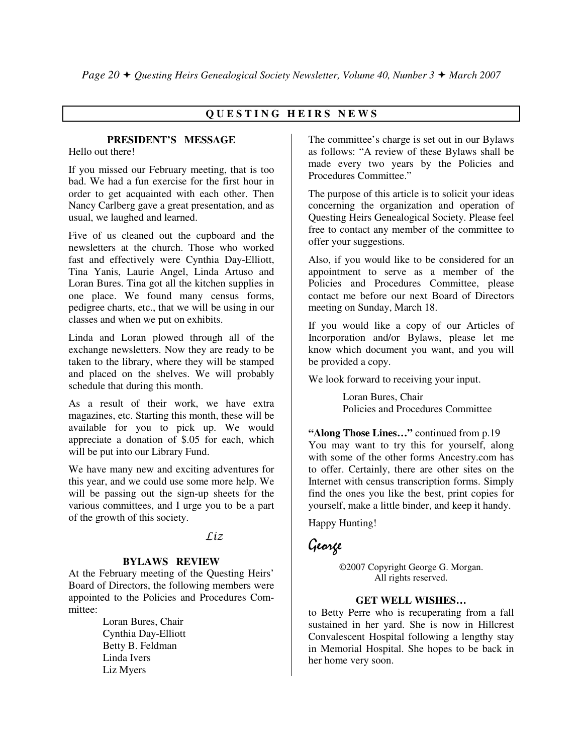#### **Q U E S T I N G H E I R S N E W S**

#### **PRESIDENT'S MESSAGE**

Hello out there!

If you missed our February meeting, that is too bad. We had a fun exercise for the first hour in order to get acquainted with each other. Then Nancy Carlberg gave a great presentation, and as usual, we laughed and learned.

Five of us cleaned out the cupboard and the newsletters at the church. Those who worked fast and effectively were Cynthia Day-Elliott, Tina Yanis, Laurie Angel, Linda Artuso and Loran Bures. Tina got all the kitchen supplies in one place. We found many census forms, pedigree charts, etc., that we will be using in our classes and when we put on exhibits.

Linda and Loran plowed through all of the exchange newsletters. Now they are ready to be taken to the library, where they will be stamped and placed on the shelves. We will probably schedule that during this month.

As a result of their work, we have extra magazines, etc. Starting this month, these will be available for you to pick up. We would appreciate a donation of \$.05 for each, which will be put into our Library Fund.

We have many new and exciting adventures for this year, and we could use some more help. We will be passing out the sign-up sheets for the various committees, and I urge you to be a part of the growth of this society.

### $Liz$

#### **BYLAWS REVIEW**

At the February meeting of the Questing Heirs' Board of Directors, the following members were appointed to the Policies and Procedures Committee:

> Loran Bures, Chair Cynthia Day-Elliott Betty B. Feldman Linda Ivers Liz Myers

The committee's charge is set out in our Bylaws as follows: "A review of these Bylaws shall be made every two years by the Policies and Procedures Committee."

The purpose of this article is to solicit your ideas concerning the organization and operation of Questing Heirs Genealogical Society. Please feel free to contact any member of the committee to offer your suggestions.

Also, if you would like to be considered for an appointment to serve as a member of the Policies and Procedures Committee, please contact me before our next Board of Directors meeting on Sunday, March 18.

If you would like a copy of our Articles of Incorporation and/or Bylaws, please let me know which document you want, and you will be provided a copy.

We look forward to receiving your input.

 Loran Bures, Chair Policies and Procedures Committee

**"Along Those Lines…"** continued from p.19 You may want to try this for yourself, along with some of the other forms Ancestry.com has to offer. Certainly, there are other sites on the Internet with census transcription forms. Simply find the ones you like the best, print copies for yourself, make a little binder, and keep it handy.

Happy Hunting!

# George

©2007 Copyright George G. Morgan. All rights reserved.

#### **GET WELL WISHES…**

to Betty Perre who is recuperating from a fall sustained in her yard. She is now in Hillcrest Convalescent Hospital following a lengthy stay in Memorial Hospital. She hopes to be back in her home very soon.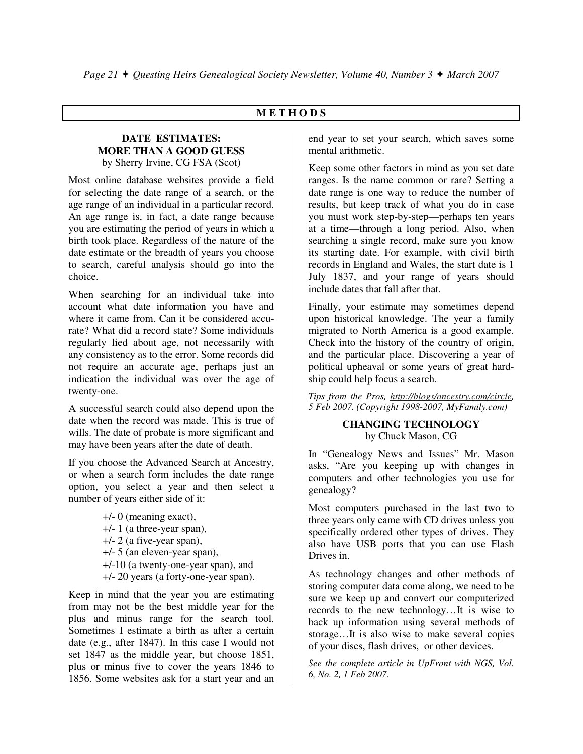#### **M E T H O D S**

#### **DATE ESTIMATES: MORE THAN A GOOD GUESS**  by Sherry Irvine, CG FSA (Scot)

Most online database websites provide a field for selecting the date range of a search, or the age range of an individual in a particular record. An age range is, in fact, a date range because you are estimating the period of years in which a birth took place. Regardless of the nature of the date estimate or the breadth of years you choose to search, careful analysis should go into the choice.

When searching for an individual take into account what date information you have and where it came from. Can it be considered accurate? What did a record state? Some individuals regularly lied about age, not necessarily with any consistency as to the error. Some records did not require an accurate age, perhaps just an indication the individual was over the age of twenty-one.

A successful search could also depend upon the date when the record was made. This is true of wills. The date of probate is more significant and may have been years after the date of death.

If you choose the Advanced Search at Ancestry, or when a search form includes the date range option, you select a year and then select a number of years either side of it:

> +/- 0 (meaning exact), +/- 1 (a three-year span), +/- 2 (a five-year span), +/- 5 (an eleven-year span), +/-10 (a twenty-one-year span), and +/- 20 years (a forty-one-year span).

Keep in mind that the year you are estimating from may not be the best middle year for the plus and minus range for the search tool. Sometimes I estimate a birth as after a certain date (e.g., after 1847). In this case I would not set 1847 as the middle year, but choose 1851, plus or minus five to cover the years 1846 to 1856. Some websites ask for a start year and an

end year to set your search, which saves some mental arithmetic.

Keep some other factors in mind as you set date ranges. Is the name common or rare? Setting a date range is one way to reduce the number of results, but keep track of what you do in case you must work step-by-step—perhaps ten years at a time—through a long period. Also, when searching a single record, make sure you know its starting date. For example, with civil birth records in England and Wales, the start date is 1 July 1837, and your range of years should include dates that fall after that.

Finally, your estimate may sometimes depend upon historical knowledge. The year a family migrated to North America is a good example. Check into the history of the country of origin, and the particular place. Discovering a year of political upheaval or some years of great hardship could help focus a search.

*Tips from the Pros, http://blogs/ancestry.com/circle, 5 Feb 2007. (Copyright 1998-2007, MyFamily.com)*

#### **CHANGING TECHNOLOGY**  by Chuck Mason, CG

In "Genealogy News and Issues" Mr. Mason asks, "Are you keeping up with changes in computers and other technologies you use for genealogy?

Most computers purchased in the last two to three years only came with CD drives unless you specifically ordered other types of drives. They also have USB ports that you can use Flash Drives in.

As technology changes and other methods of storing computer data come along, we need to be sure we keep up and convert our computerized records to the new technology…It is wise to back up information using several methods of storage…It is also wise to make several copies of your discs, flash drives, or other devices.

*See the complete article in UpFront with NGS, Vol. 6, No. 2, 1 Feb 2007.*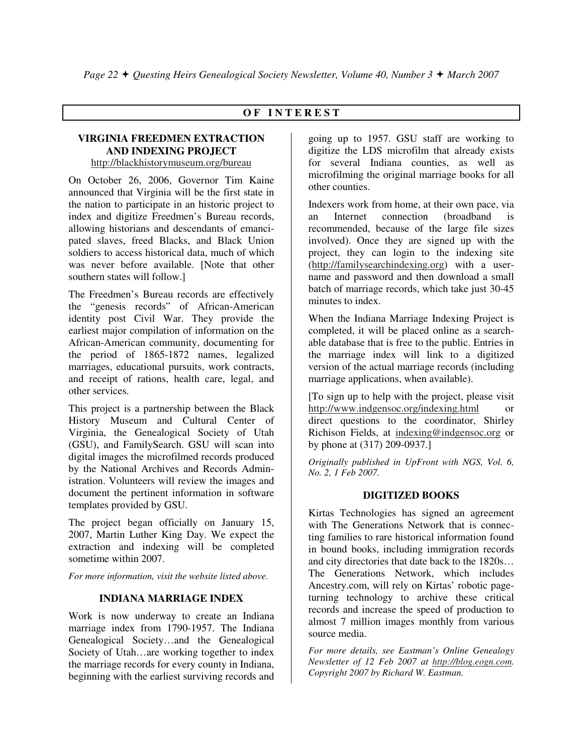# **O F I N T E R E S T**

#### **VIRGINIA FREEDMEN EXTRACTION AND INDEXING PROJECT** http://blackhistorymuseum.org/bureau

On October 26, 2006, Governor Tim Kaine announced that Virginia will be the first state in the nation to participate in an historic project to index and digitize Freedmen's Bureau records, allowing historians and descendants of emancipated slaves, freed Blacks, and Black Union soldiers to access historical data, much of which was never before available. [Note that other southern states will follow.]

The Freedmen's Bureau records are effectively the "genesis records" of African-American identity post Civil War. They provide the earliest major compilation of information on the African-American community, documenting for the period of 1865-1872 names, legalized marriages, educational pursuits, work contracts, and receipt of rations, health care, legal, and other services.

This project is a partnership between the Black History Museum and Cultural Center of Virginia, the Genealogical Society of Utah (GSU), and FamilySearch. GSU will scan into digital images the microfilmed records produced by the National Archives and Records Administration. Volunteers will review the images and document the pertinent information in software templates provided by GSU.

The project began officially on January 15, 2007, Martin Luther King Day. We expect the extraction and indexing will be completed sometime within 2007.

*For more information, visit the website listed above.* 

#### **INDIANA MARRIAGE INDEX**

Work is now underway to create an Indiana marriage index from 1790-1957. The Indiana Genealogical Society…and the Genealogical Society of Utah…are working together to index the marriage records for every county in Indiana, beginning with the earliest surviving records and

going up to 1957. GSU staff are working to digitize the LDS microfilm that already exists for several Indiana counties, as well as microfilming the original marriage books for all other counties.

Indexers work from home, at their own pace, via an Internet connection (broadband is recommended, because of the large file sizes involved). Once they are signed up with the project, they can login to the indexing site (http://familysearchindexing.org) with a username and password and then download a small batch of marriage records, which take just 30-45 minutes to index.

When the Indiana Marriage Indexing Project is completed, it will be placed online as a searchable database that is free to the public. Entries in the marriage index will link to a digitized version of the actual marriage records (including marriage applications, when available).

[To sign up to help with the project, please visit http://www.indgensoc.org/indexing.html or direct questions to the coordinator, Shirley Richison Fields, at indexing@indgensoc.org or by phone at (317) 209-0937.]

*Originally published in UpFront with NGS, Vol. 6, No. 2, 1 Feb 2007.*

#### **DIGITIZED BOOKS**

Kirtas Technologies has signed an agreement with The Generations Network that is connecting families to rare historical information found in bound books, including immigration records and city directories that date back to the 1820s… The Generations Network, which includes Ancestry.com, will rely on Kirtas' robotic pageturning technology to archive these critical records and increase the speed of production to almost 7 million images monthly from various source media.

*For more details, see Eastman's Online Genealogy Newsletter of 12 Feb 2007 at http://blog.eogn.com. Copyright 2007 by Richard W. Eastman.*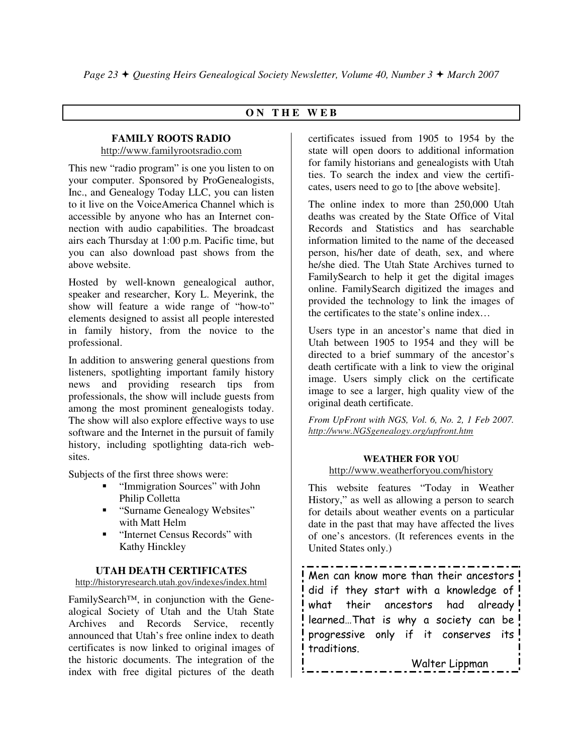# **O N T H E W E B**

# **FAMILY ROOTS RADIO**

http://www.familyrootsradio.com

This new "radio program" is one you listen to on your computer. Sponsored by ProGenealogists, Inc., and Genealogy Today LLC, you can listen to it live on the VoiceAmerica Channel which is accessible by anyone who has an Internet connection with audio capabilities. The broadcast airs each Thursday at 1:00 p.m. Pacific time, but you can also download past shows from the above website.

Hosted by well-known genealogical author, speaker and researcher, Kory L. Meyerink, the show will feature a wide range of "how-to" elements designed to assist all people interested in family history, from the novice to the professional.

In addition to answering general questions from listeners, spotlighting important family history news and providing research tips from professionals, the show will include guests from among the most prominent genealogists today. The show will also explore effective ways to use software and the Internet in the pursuit of family history, including spotlighting data-rich websites.

Subjects of the first three shows were:

- "Immigration Sources" with John Philip Colletta
- **Example Genealogy Websites"** with Matt Helm
- **-** "Internet Census Records" with Kathy Hinckley

#### **UTAH DEATH CERTIFICATES**

http://historyresearch.utah.gov/indexes/index.html

FamilySearch™, in conjunction with the Genealogical Society of Utah and the Utah State Archives and Records Service, recently announced that Utah's free online index to death certificates is now linked to original images of the historic documents. The integration of the index with free digital pictures of the death certificates issued from 1905 to 1954 by the state will open doors to additional information for family historians and genealogists with Utah ties. To search the index and view the certificates, users need to go to [the above website].

The online index to more than 250,000 Utah deaths was created by the State Office of Vital Records and Statistics and has searchable information limited to the name of the deceased person, his/her date of death, sex, and where he/she died. The Utah State Archives turned to FamilySearch to help it get the digital images online. FamilySearch digitized the images and provided the technology to link the images of the certificates to the state's online index…

Users type in an ancestor's name that died in Utah between 1905 to 1954 and they will be directed to a brief summary of the ancestor's death certificate with a link to view the original image. Users simply click on the certificate image to see a larger, high quality view of the original death certificate.

*From UpFront with NGS, Vol. 6, No. 2, 1 Feb 2007. http://www.NGSgenealogy.org/upfront.htm*

#### **WEATHER FOR YOU**

#### http://www.weatherforyou.com/history

This website features "Today in Weather History," as well as allowing a person to search for details about weather events on a particular date in the past that may have affected the lives of one's ancestors. (It references events in the United States only.)

Men can know more than their ancestors did if they start with a knowledge of what their ancestors had already learned…That is why a society can be progressive only if it conserves its traditions.

Walter Lippman